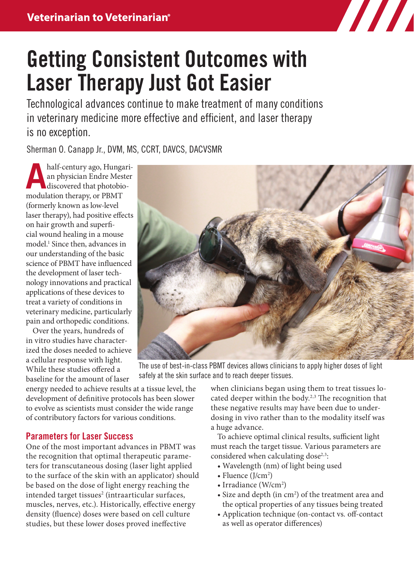

# Getting Consistent Outcomes with Laser Therapy Just Got Easier

Technological advances continue to make treatment of many conditions in veterinary medicine more effective and efficient, and laser therapy is no exception.

Sherman O. Canapp Jr., DVM, MS, CCRT, DAVCS, DACVSMR

half-century ago, Hungarian<br>an physician Endre Mester<br>discovered that photobioan physician Endre Mester discovered that photobiomodulation therapy, or PBMT (formerly known as low-level laser therapy), had positive effects on hair growth and superficial wound healing in a mouse model.1 Since then, advances in our understanding of the basic science of PBMT have influenced the development of laser technology innovations and practical applications of these devices to treat a variety of conditions in veterinary medicine, particularly pain and orthopedic conditions.

Over the years, hundreds of in vitro studies have characterized the doses needed to achieve a cellular response with light. While these studies offered a baseline for the amount of laser



The use of best-in-class PBMT devices allows clinicians to apply higher doses of light safely at the skin surface and to reach deeper tissues.

energy needed to achieve results at a tissue level, the development of definitive protocols has been slower to evolve as scientists must consider the wide range of contributory factors for various conditions.

## Parameters for Laser Success

One of the most important advances in PBMT was the recognition that optimal therapeutic parameters for transcutaneous dosing (laser light applied to the surface of the skin with an applicator) should be based on the dose of light energy reaching the intended target tissues<sup>2</sup> (intraarticular surfaces, muscles, nerves, etc.). Historically, effective energy density (fluence) doses were based on cell culture studies, but these lower doses proved ineffective

when clinicians began using them to treat tissues located deeper within the body.<sup>2,3</sup> The recognition that these negative results may have been due to underdosing in vivo rather than to the modality itself was a huge advance.

To achieve optimal clinical results, sufficient light must reach the target tissue. Various parameters are considered when calculating dose<sup>2,3</sup>:

- Wavelength (nm) of light being used
- Fluence (J/cm<sup>2</sup>)
- Irradiance (W/cm<sup>2</sup>)
- Size and depth (in cm<sup>2</sup>) of the treatment area and the optical properties of any tissues being treated
- Application technique (on-contact vs*.* off -contact as well as operator differences)